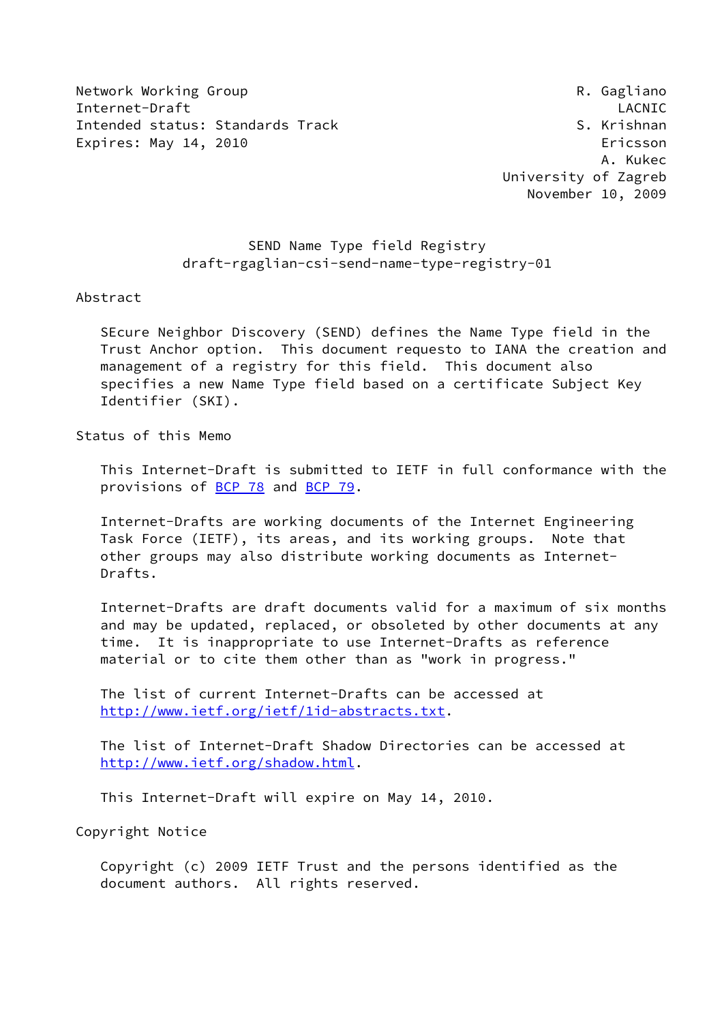Network Working Group **Reading Reading Community** R. Gagliano Internet-Draft LACNIC Intended status: Standards Track S. Krishnan Expires: May 14, 2010 **Expires: May 14, 2010** 

 A. Kukec University of Zagreb November 10, 2009

# SEND Name Type field Registry draft-rgaglian-csi-send-name-type-registry-01

Abstract

 SEcure Neighbor Discovery (SEND) defines the Name Type field in the Trust Anchor option. This document requesto to IANA the creation and management of a registry for this field. This document also specifies a new Name Type field based on a certificate Subject Key Identifier (SKI).

Status of this Memo

 This Internet-Draft is submitted to IETF in full conformance with the provisions of **BCP 78** and **BCP 79**.

 Internet-Drafts are working documents of the Internet Engineering Task Force (IETF), its areas, and its working groups. Note that other groups may also distribute working documents as Internet- Drafts.

 Internet-Drafts are draft documents valid for a maximum of six months and may be updated, replaced, or obsoleted by other documents at any time. It is inappropriate to use Internet-Drafts as reference material or to cite them other than as "work in progress."

 The list of current Internet-Drafts can be accessed at <http://www.ietf.org/ietf/1id-abstracts.txt>.

 The list of Internet-Draft Shadow Directories can be accessed at <http://www.ietf.org/shadow.html>.

This Internet-Draft will expire on May 14, 2010.

Copyright Notice

 Copyright (c) 2009 IETF Trust and the persons identified as the document authors. All rights reserved.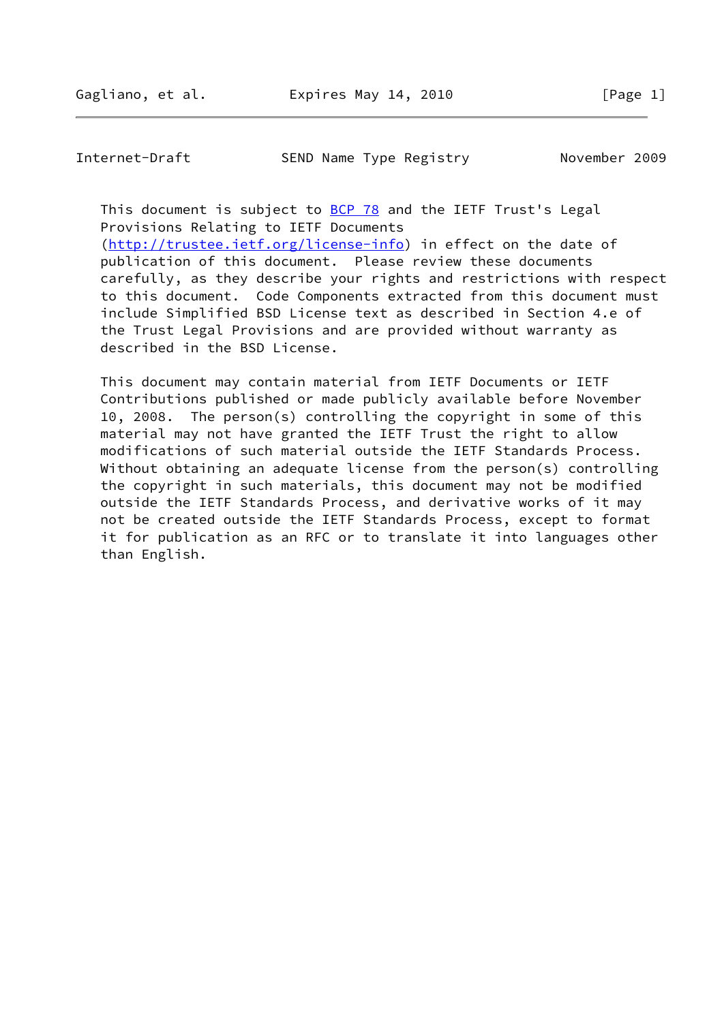Internet-Draft SEND Name Type Registry November 2009

This document is subject to [BCP 78](https://datatracker.ietf.org/doc/pdf/bcp78) and the IETF Trust's Legal Provisions Relating to IETF Documents [\(http://trustee.ietf.org/license-info](http://trustee.ietf.org/license-info)) in effect on the date of

 publication of this document. Please review these documents carefully, as they describe your rights and restrictions with respect to this document. Code Components extracted from this document must include Simplified BSD License text as described in Section 4.e of the Trust Legal Provisions and are provided without warranty as described in the BSD License.

 This document may contain material from IETF Documents or IETF Contributions published or made publicly available before November 10, 2008. The person(s) controlling the copyright in some of this material may not have granted the IETF Trust the right to allow modifications of such material outside the IETF Standards Process. Without obtaining an adequate license from the person(s) controlling the copyright in such materials, this document may not be modified outside the IETF Standards Process, and derivative works of it may not be created outside the IETF Standards Process, except to format it for publication as an RFC or to translate it into languages other than English.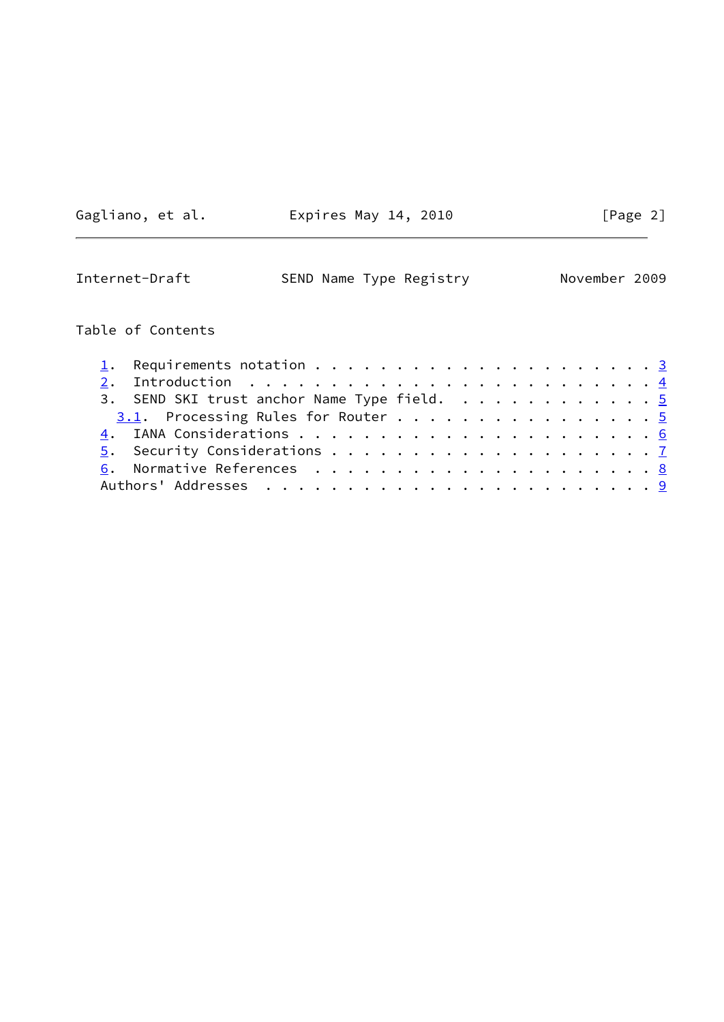Gagliano, et al. Expires May 14, 2010 [Page 2]

<span id="page-2-0"></span>

| Internet-Draft | SEND Name Type Registry | November 2009 |
|----------------|-------------------------|---------------|
|----------------|-------------------------|---------------|

# Table of Contents

|  | 2. Introduction $\ldots \ldots \ldots \ldots \ldots \ldots \ldots \ldots \ldots$ |  |  |  |  |  |  |  |  |  |  |
|--|----------------------------------------------------------------------------------|--|--|--|--|--|--|--|--|--|--|
|  | 3. SEND SKI trust anchor Name Type field. 5                                      |  |  |  |  |  |  |  |  |  |  |
|  | $3.1$ . Processing Rules for Router 5                                            |  |  |  |  |  |  |  |  |  |  |
|  |                                                                                  |  |  |  |  |  |  |  |  |  |  |
|  |                                                                                  |  |  |  |  |  |  |  |  |  |  |
|  |                                                                                  |  |  |  |  |  |  |  |  |  |  |
|  |                                                                                  |  |  |  |  |  |  |  |  |  |  |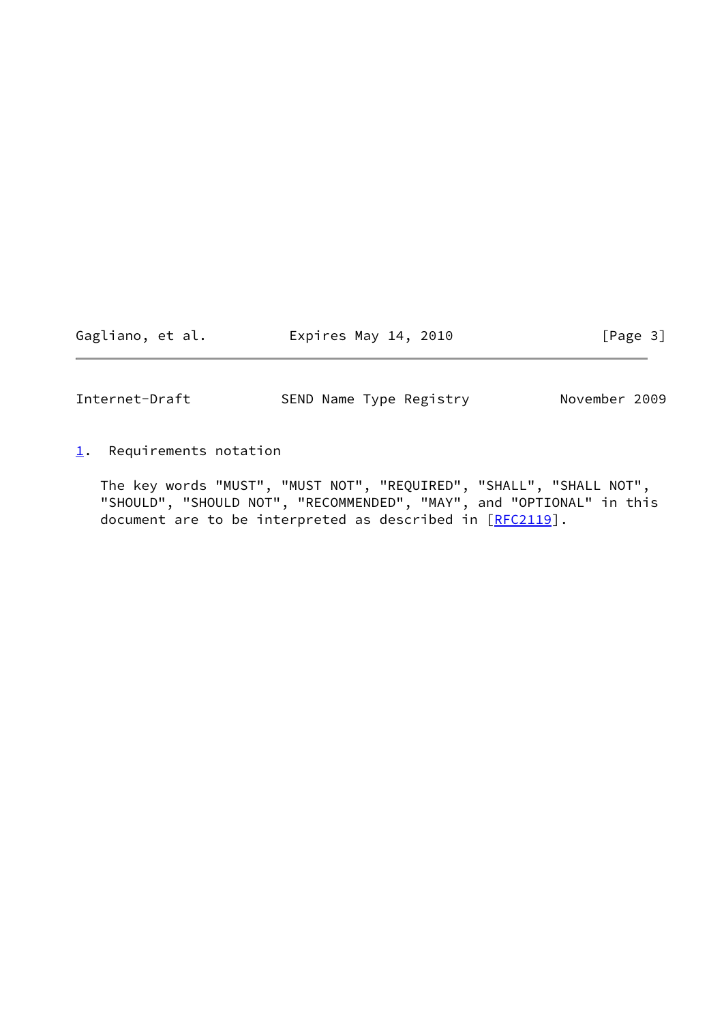Gagliano, et al. 
Expires May 14, 2010  $[Page 3]$ 

<span id="page-3-1"></span>Internet-Draft SEND Name Type Registry November 2009

<span id="page-3-0"></span>[1](#page-3-0). Requirements notation

 The key words "MUST", "MUST NOT", "REQUIRED", "SHALL", "SHALL NOT", "SHOULD", "SHOULD NOT", "RECOMMENDED", "MAY", and "OPTIONAL" in this document are to be interpreted as described in [\[RFC2119](https://datatracker.ietf.org/doc/pdf/rfc2119)].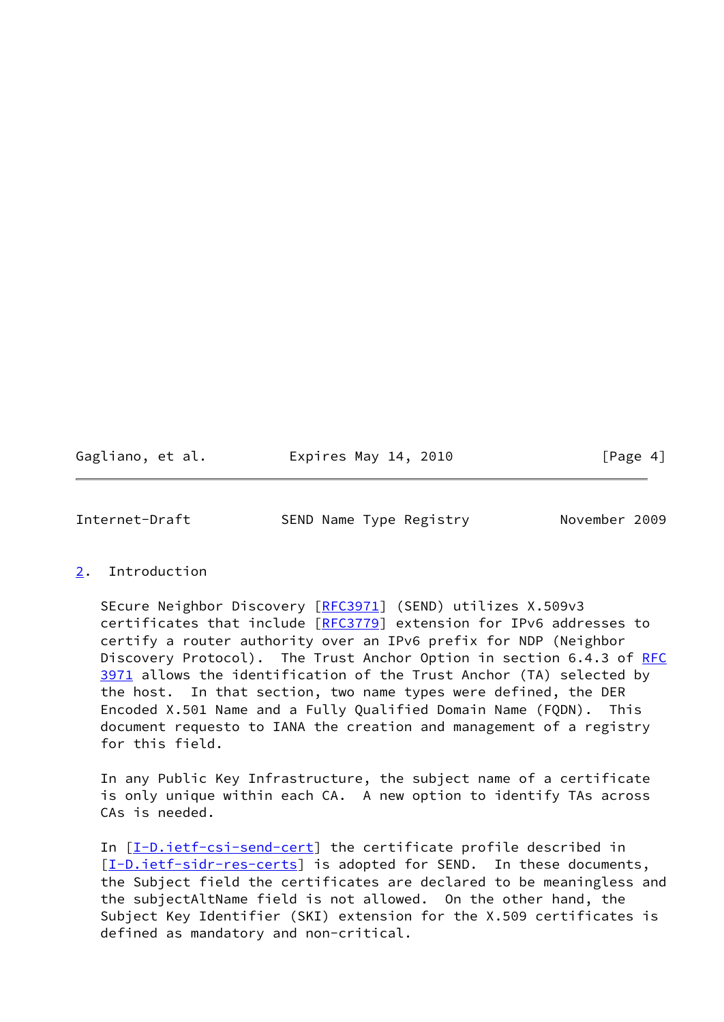Gagliano, et al. 
Expires May 14, 2010  $[Page 4]$ 

<span id="page-4-1"></span>Internet-Draft SEND Name Type Registry November 2009

### <span id="page-4-0"></span>[2](#page-4-0). Introduction

SEcure Neighbor Discovery [[RFC3971](https://datatracker.ietf.org/doc/pdf/rfc3971)] (SEND) utilizes X.509v3 certificates that include [[RFC3779](https://datatracker.ietf.org/doc/pdf/rfc3779)] extension for IPv6 addresses to certify a router authority over an IPv6 prefix for NDP (Neighbor Discovery Protocol). The Trust Anchor Option in section 6.4.3 of [RFC](https://datatracker.ietf.org/doc/pdf/rfc3971) [3971](https://datatracker.ietf.org/doc/pdf/rfc3971) allows the identification of the Trust Anchor (TA) selected by the host. In that section, two name types were defined, the DER Encoded X.501 Name and a Fully Qualified Domain Name (FQDN). This document requesto to IANA the creation and management of a registry for this field.

 In any Public Key Infrastructure, the subject name of a certificate is only unique within each CA. A new option to identify TAs across CAs is needed.

In [[I-D.ietf-csi-send-cert](#page-9-2)] the certificate profile described in [\[I-D.ietf-sidr-res-certs](#page-9-3)] is adopted for SEND. In these documents, the Subject field the certificates are declared to be meaningless and the subjectAltName field is not allowed. On the other hand, the Subject Key Identifier (SKI) extension for the X.509 certificates is defined as mandatory and non-critical.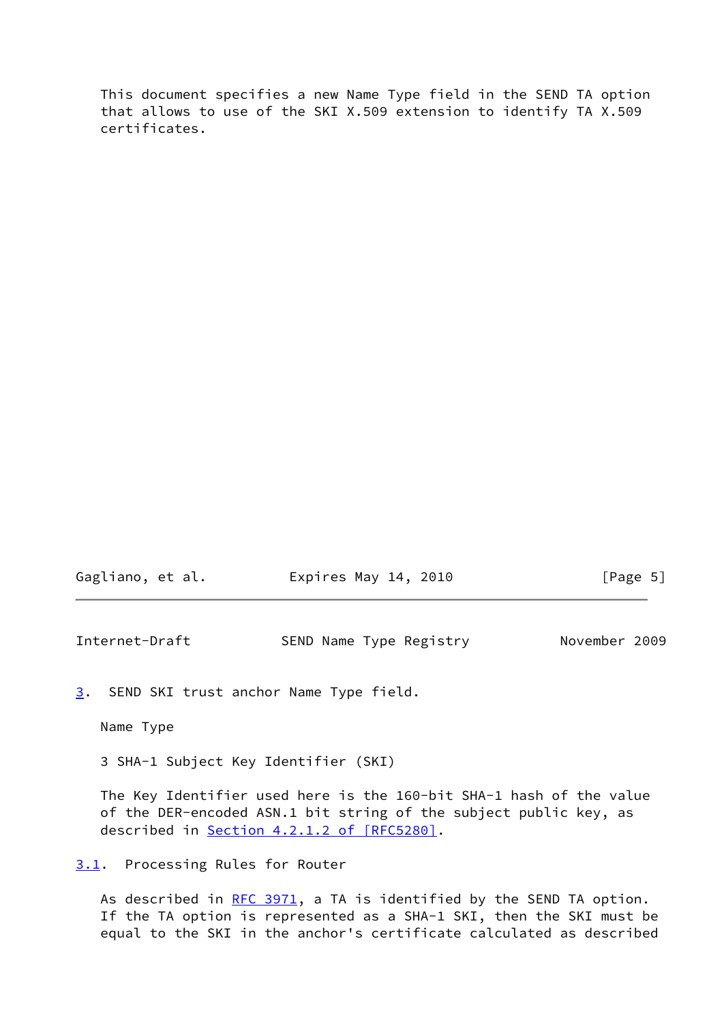This document specifies a new Name Type field in the SEND TA option that allows to use of the SKI X.509 extension to identify TA X.509 certificates.

| Gagliano, et al. | Expires May 14, 2010 | [Page 5] |
|------------------|----------------------|----------|
|------------------|----------------------|----------|

<span id="page-5-1"></span>Internet-Draft SEND Name Type Registry November 2009

<span id="page-5-2"></span>[3](#page-5-2). SEND SKI trust anchor Name Type field.

Name Type

3 SHA-1 Subject Key Identifier (SKI)

 The Key Identifier used here is the 160-bit SHA-1 hash of the value of the DER-encoded ASN.1 bit string of the subject public key, as described in Section [4.2.1.2 of \[RFC5280\]](https://datatracker.ietf.org/doc/pdf/rfc5280#section-4.2.1.2).

<span id="page-5-0"></span>[3.1](#page-5-0). Processing Rules for Router

As described in [RFC 3971](https://datatracker.ietf.org/doc/pdf/rfc3971), a TA is identified by the SEND TA option. If the TA option is represented as a SHA-1 SKI, then the SKI must be equal to the SKI in the anchor's certificate calculated as described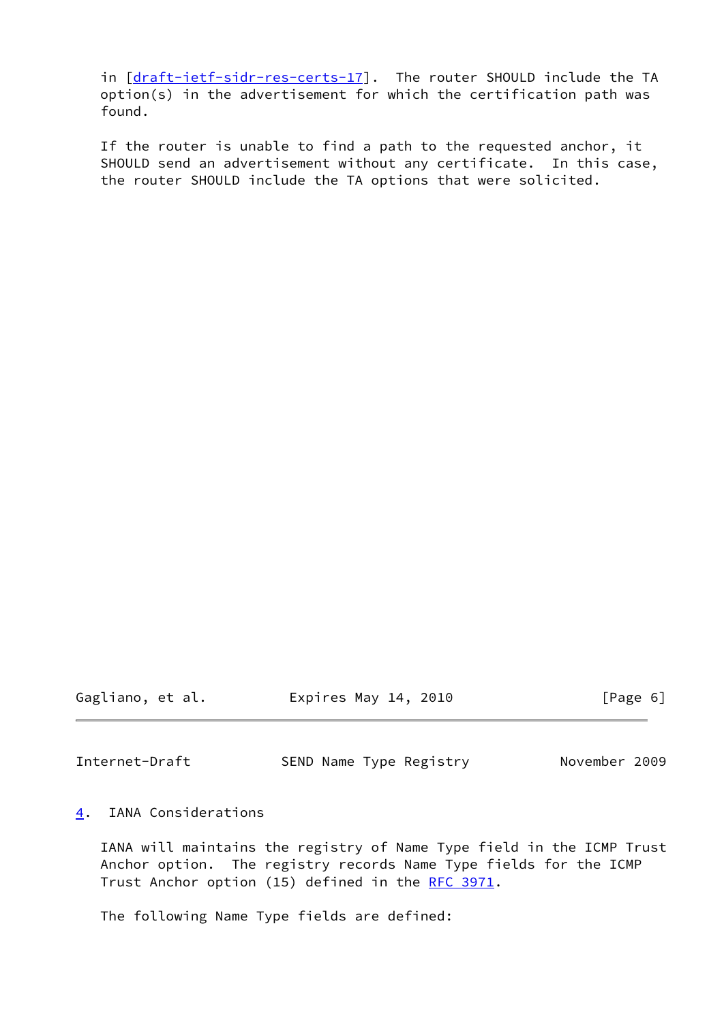in [[draft-ietf-sidr-res-certs-17\]](https://datatracker.ietf.org/doc/pdf/draft-ietf-sidr-res-certs-17). The router SHOULD include the TA option(s) in the advertisement for which the certification path was found.

 If the router is unable to find a path to the requested anchor, it SHOULD send an advertisement without any certificate. In this case, the router SHOULD include the TA options that were solicited.

Gagliano, et al. Expires May 14, 2010 [Page 6]

<span id="page-6-1"></span>Internet-Draft SEND Name Type Registry November 2009

## <span id="page-6-0"></span>[4](#page-6-0). IANA Considerations

 IANA will maintains the registry of Name Type field in the ICMP Trust Anchor option. The registry records Name Type fields for the ICMP Trust Anchor option (15) defined in the [RFC 3971](https://datatracker.ietf.org/doc/pdf/rfc3971).

The following Name Type fields are defined: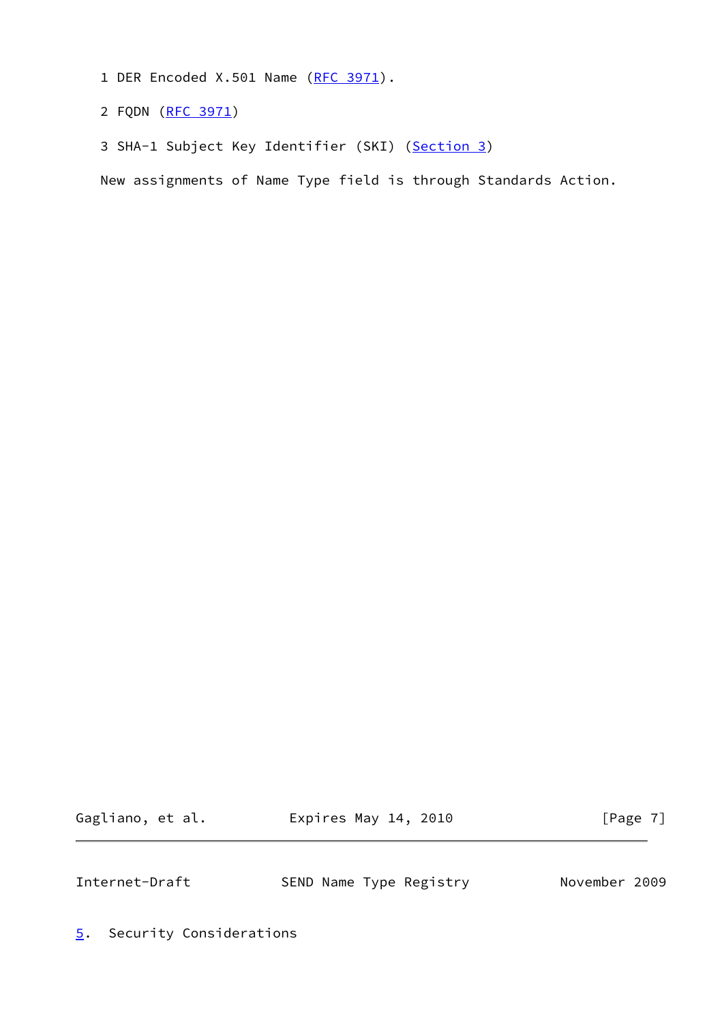- 1 DER Encoded X.501 Name [\(RFC 3971](https://datatracker.ietf.org/doc/pdf/rfc3971)).
- 2 FQDN [\(RFC 3971](https://datatracker.ietf.org/doc/pdf/rfc3971))
- 3 SHA-1 Subject Key Identifier (SKI) [\(Section 3\)](#page-5-2)

New assignments of Name Type field is through Standards Action.

Gagliano, et al. 
Expires May 14, 2010  $[Page 7]$ 

<span id="page-7-1"></span>Internet-Draft SEND Name Type Registry November 2009

<span id="page-7-0"></span>[5](#page-7-0). Security Considerations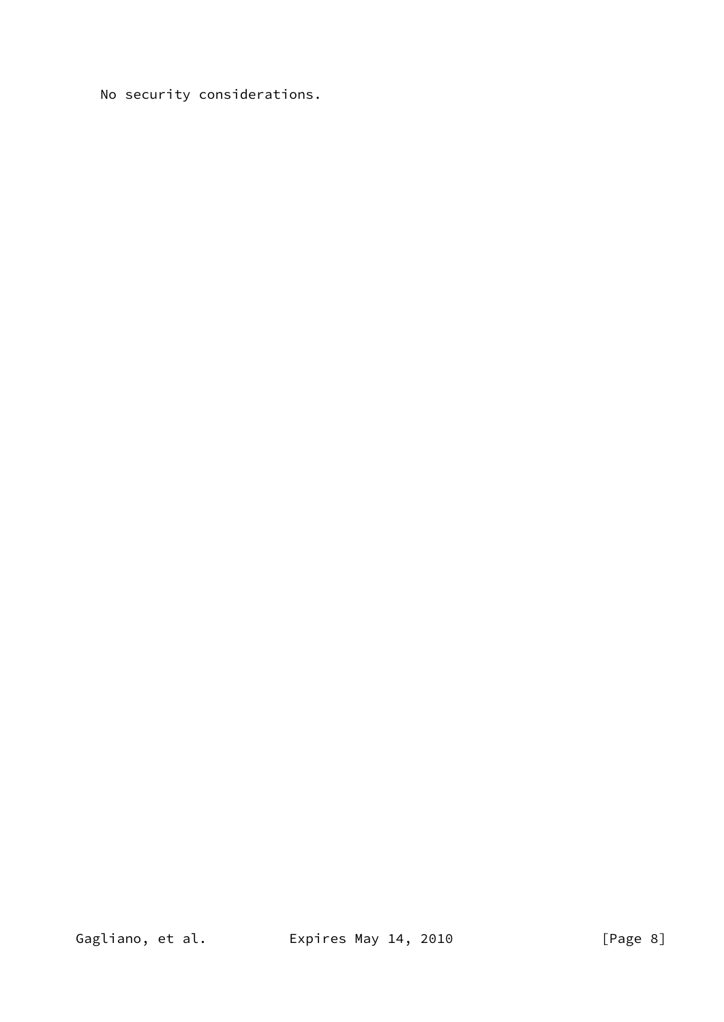No security considerations.

Gagliano, et al. **Expires May 14, 2010**  $[Page 8]$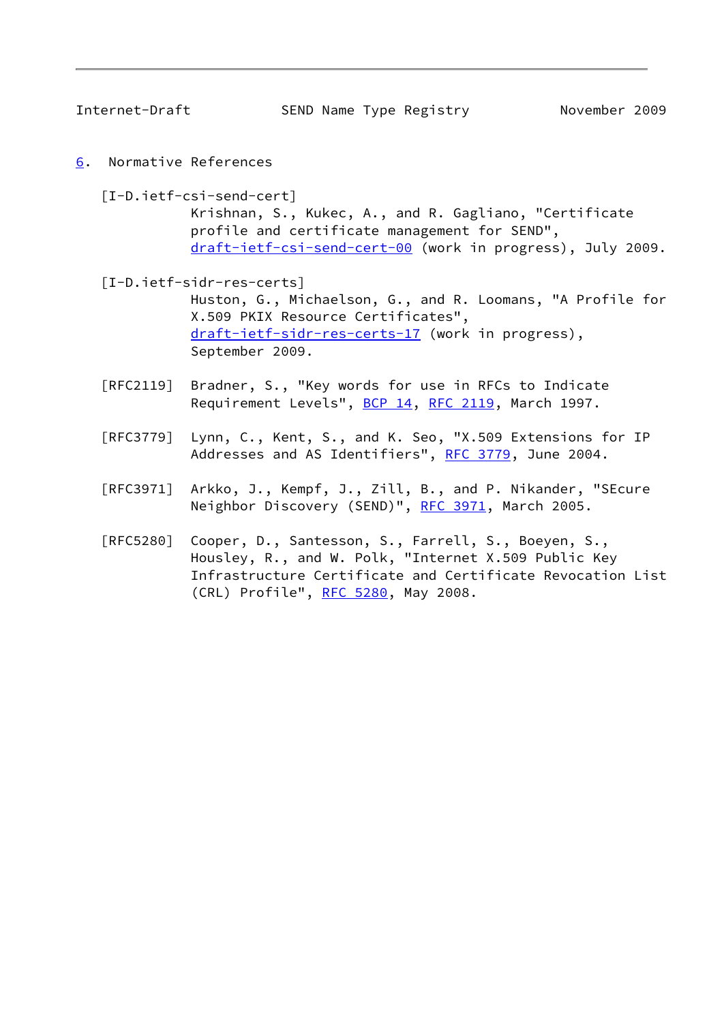<span id="page-9-1"></span>

Internet-Draft SEND Name Type Registry November 2009

<span id="page-9-0"></span>[6](#page-9-0). Normative References

<span id="page-9-2"></span> [I-D.ietf-csi-send-cert] Krishnan, S., Kukec, A., and R. Gagliano, "Certificate profile and certificate management for SEND", [draft-ietf-csi-send-cert-00](https://datatracker.ietf.org/doc/pdf/draft-ietf-csi-send-cert-00) (work in progress), July 2009.

<span id="page-9-3"></span> [I-D.ietf-sidr-res-certs] Huston, G., Michaelson, G., and R. Loomans, "A Profile for X.509 PKIX Resource Certificates", [draft-ietf-sidr-res-certs-17](https://datatracker.ietf.org/doc/pdf/draft-ietf-sidr-res-certs-17) (work in progress), September 2009.

- [RFC2119] Bradner, S., "Key words for use in RFCs to Indicate Requirement Levels", [BCP 14](https://datatracker.ietf.org/doc/pdf/bcp14), [RFC 2119](https://datatracker.ietf.org/doc/pdf/rfc2119), March 1997.
- [RFC3779] Lynn, C., Kent, S., and K. Seo, "X.509 Extensions for IP Addresses and AS Identifiers", [RFC 3779](https://datatracker.ietf.org/doc/pdf/rfc3779), June 2004.
- [RFC3971] Arkko, J., Kempf, J., Zill, B., and P. Nikander, "SEcure Neighbor Discovery (SEND)", [RFC 3971,](https://datatracker.ietf.org/doc/pdf/rfc3971) March 2005.
- [RFC5280] Cooper, D., Santesson, S., Farrell, S., Boeyen, S., Housley, R., and W. Polk, "Internet X.509 Public Key Infrastructure Certificate and Certificate Revocation List (CRL) Profile", [RFC 5280,](https://datatracker.ietf.org/doc/pdf/rfc5280) May 2008.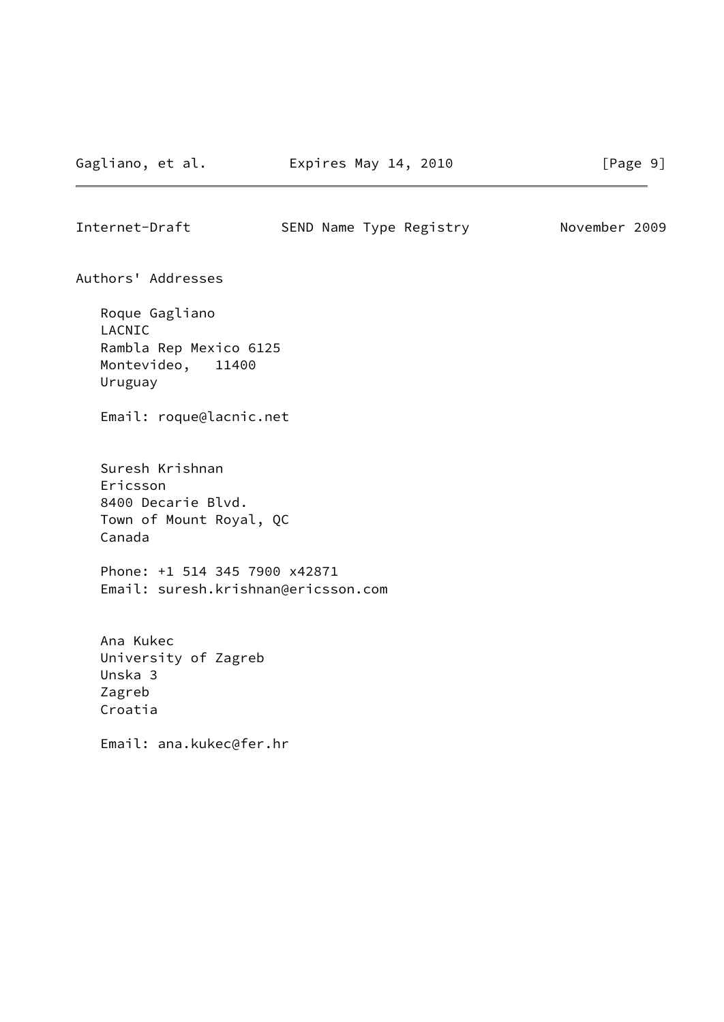Internet-Draft SEND Name Type Registry November 2009

Authors' Addresses

 Roque Gagliano LACNIC Rambla Rep Mexico 6125 Montevideo, 11400 Uruguay

Email: roque@lacnic.net

 Suresh Krishnan Ericsson 8400 Decarie Blvd. Town of Mount Royal, QC Canada

 Phone: +1 514 345 7900 x42871 Email: suresh.krishnan@ericsson.com

 Ana Kukec University of Zagreb Unska 3 Zagreb Croatia

Email: ana.kukec@fer.hr